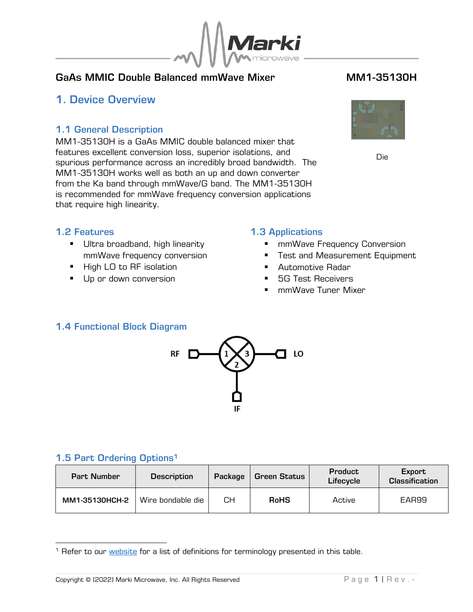

### GaAs MMIC Double Balanced mmWave Mixer **MM1-35130H**

## <span id="page-0-0"></span>1. Device Overview

#### <span id="page-0-1"></span>1.1 General Description

MM1-35130H is a GaAs MMIC double balanced mixer that features excellent conversion loss, superior isolations, and spurious performance across an incredibly broad bandwidth. The MM1-35130H works well as both an up and down converter from the Ka band through mmWave/G band. The MM1-35130H is recommended for mmWave frequency conversion applications that require high linearity.



Die

### <span id="page-0-2"></span>1.2 Features

- **■** Ultra broadband, high linearity mmWave frequency conversion
- High LO to RF isolation
- Up or down conversion

#### <span id="page-0-3"></span>1.3 Applications

- mmWave Frequency Conversion
- Test and Measurement Equipment
- Automotive Radar
- **5G Test Receivers**
- mmWave Tuner Mixer

### <span id="page-0-4"></span>1.4 Functional Block Diagram



### <span id="page-0-5"></span>1.5 Part Ordering Options<sup>1</sup>

| <b>Part Number</b> | <b>Description</b> | Package | <b>Green Status</b> | <b>Product</b><br>Lifecycle | Export<br><b>Classification</b> |  |
|--------------------|--------------------|---------|---------------------|-----------------------------|---------------------------------|--|
| MM1-35130HCH-2     | Wire bondable die  | CН      | <b>RoHS</b>         | Active                      | EAR99                           |  |

<sup>&</sup>lt;sup>1</sup> Refer to our **website** for a list of definitions for terminology presented in this table.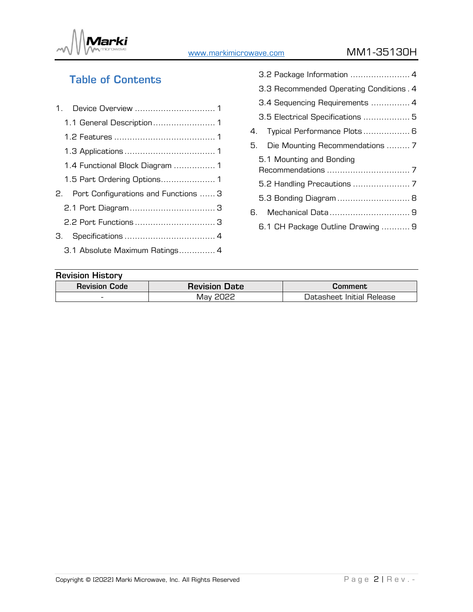

[www.markimicrowave.com](http://www.markimicrowae.com/) MM1-35130H

# Table of Contents

| 1.1 General Description 1               |
|-----------------------------------------|
|                                         |
|                                         |
| 1.4 Functional Block Diagram  1         |
| 1.5 Part Ordering Options 1             |
| 2. Port Configurations and Functions  3 |
|                                         |
| 2.2 Port Functions  3                   |
| 3.                                      |
| 3.1 Absolute Maximum Ratings 4          |

| 3.3 Recommended Operating Conditions. 4 |
|-----------------------------------------|
| 3.4 Sequencing Requirements  4          |
| 3.5 Electrical Specifications  5        |
| 4. Typical Performance Plots 6          |
| 5. Die Mounting Recommendations  7      |
| 5.1 Mounting and Bonding                |
|                                         |
|                                         |
| 5.3 Bonding Diagram  8                  |
| 6. Mechanical Data 9                    |
| 6.1 CH Package Outline Drawing  9       |

#### Revision History

| <b>Revision Code</b>     | <b>Revision Date</b> | Comment                   |  |  |
|--------------------------|----------------------|---------------------------|--|--|
| $\overline{\phantom{a}}$ | Vlay                 | Datasheet Initial Release |  |  |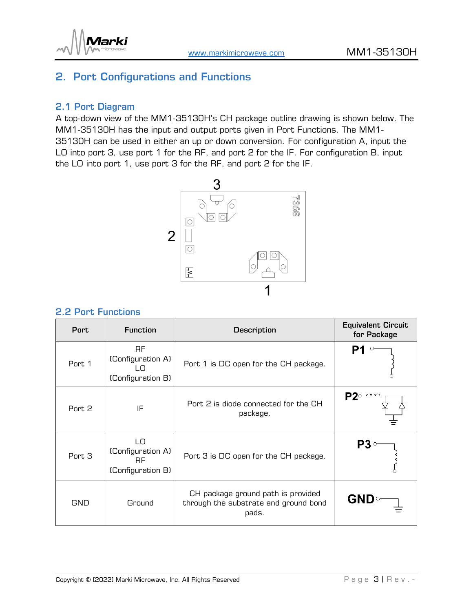



## <span id="page-2-0"></span>2. Port Configurations and Functions

#### <span id="page-2-1"></span>2.1 Port Diagram

A top-down view of the MM1-35130H's CH package outline drawing is shown below. The MM1-35130H has the input and output ports given in Port Functions. The MM1- 35130H can be used in either an up or down conversion. For configuration A, input the LO into port 3, use port 1 for the RF, and port 2 for the IF. For configuration B, input the LO into port 1, use port 3 for the RF, and port 2 for the IF.



#### <span id="page-2-2"></span>2.2 Port Functions

| <b>Port</b> | <b>Function</b>                                           | <b>Description</b>                                                                   | <b>Equivalent Circuit</b><br>for Package |
|-------------|-----------------------------------------------------------|--------------------------------------------------------------------------------------|------------------------------------------|
| Port 1      | RF.<br>(Configuration A)<br>LO.<br>(Configuration B)      | Port 1 is DC open for the CH package.                                                |                                          |
| Port 2      | IF                                                        | Port 2 is diode connected for the CH<br>package.                                     |                                          |
| Port 3      | LO<br>(Configuration A)<br><b>RF</b><br>(Configuration B) | Port 3 is DC open for the CH package.                                                |                                          |
| <b>GND</b>  | Ground                                                    | CH package ground path is provided<br>through the substrate and ground bond<br>pads. | <b>GND</b>                               |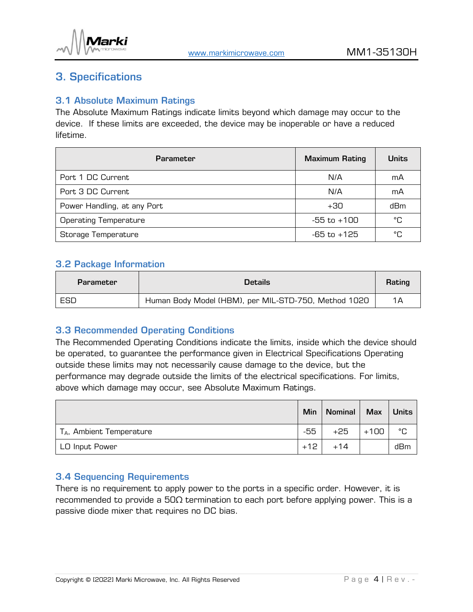

## <span id="page-3-0"></span>3. Specifications

#### <span id="page-3-1"></span>3.1 Absolute Maximum Ratings

The Absolute Maximum Ratings indicate limits beyond which damage may occur to the device. If these limits are exceeded, the device may be inoperable or have a reduced lifetime.

| <b>Parameter</b>             | <b>Maximum Rating</b> | <b>Units</b> |
|------------------------------|-----------------------|--------------|
| Port 1 DC Current            | N/A                   | mA           |
| Port 3 DC Current            | N/A                   | mA           |
| Power Handling, at any Port  | $+30$                 | dBm          |
| <b>Operating Temperature</b> | $-55$ to $+100$       | °C           |
| Storage Temperature          | -65 to +125           | °C           |

#### <span id="page-3-2"></span>3.2 Package Information

| <b>Parameter</b> | Details:                                             |    |
|------------------|------------------------------------------------------|----|
| ESD              | Human Body Model (HBM), per MIL-STD-750, Method 1020 | 1Α |

#### <span id="page-3-3"></span>3.3 Recommended Operating Conditions

The Recommended Operating Conditions indicate the limits, inside which the device should be operated, to guarantee the performance given in Electrical Specifications Operating outside these limits may not necessarily cause damage to the device, but the performance may degrade outside the limits of the electrical specifications. For limits, above which damage may occur, see Absolute Maximum Ratings.

|                             | Min   | <b>Nominal</b> |        | Max   Units |
|-----------------------------|-------|----------------|--------|-------------|
| $T_A$ , Ambient Temperature | -55   | +25            | $+100$ | °C          |
| LO Input Power              | $+12$ | $+14$          |        | dBm         |

#### <span id="page-3-4"></span>3.4 Sequencing Requirements

There is no requirement to apply power to the ports in a specific order. However, it is recommended to provide a 50Ω termination to each port before applying power. This is a passive diode mixer that requires no DC bias.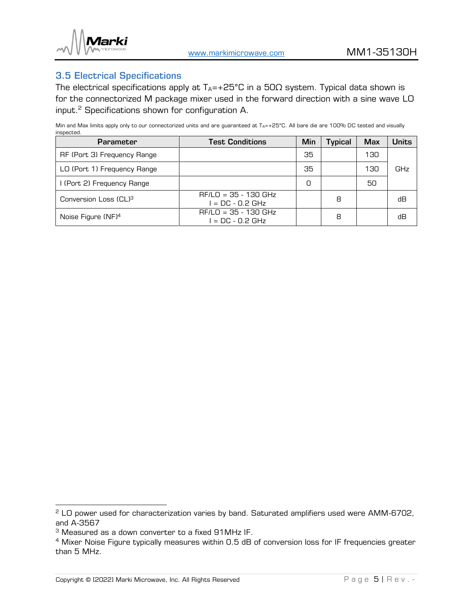

#### <span id="page-4-0"></span>3.5 Electrical Specifications

The electrical specifications apply at  $T_A$ =+25°C in a 50 $\Omega$  system. Typical data shown is for the connectorized M package mixer used in the forward direction with a sine wave LO input.<sup>2</sup> Specifications shown for configuration A.

Min and Max limits apply only to our connectorized units and are guaranteed at  $T_{A}=+25^{\circ}C$ . All bare die are 100% DC tested and visually inspected.

| <b>Parameter</b>                  | <b>Test Conditions</b>                       | Min | <b>Typical</b> | <b>Max</b> | Units |
|-----------------------------------|----------------------------------------------|-----|----------------|------------|-------|
| RF (Port 3) Frequency Range       |                                              | 35  |                | 130        |       |
| LO (Port 1) Frequency Range       |                                              | 35  |                | 130        | GHz   |
| I (Port 2) Frequency Range        |                                              | 0   |                | 50         |       |
| Conversion Loss (CL) <sup>3</sup> | $RF/LO = 35 - 130$ GHz<br>$I = DC - 0.2 GHz$ |     | 8              |            | dВ    |
| Noise Figure (NF) <sup>4</sup>    | $RF/LO = 35 - 130 GHz$<br>$I = DC - 0.2 GHz$ |     | 8              |            | dВ    |

<sup>&</sup>lt;sup>2</sup> LO power used for characterization varies by band. Saturated amplifiers used were AMM-6702, and A-3567

<sup>3</sup> Measured as a down converter to a fixed 91MHz IF.

<sup>&</sup>lt;sup>4</sup> Mixer Noise Figure typically measures within 0.5 dB of conversion loss for IF frequencies greater than 5 MHz.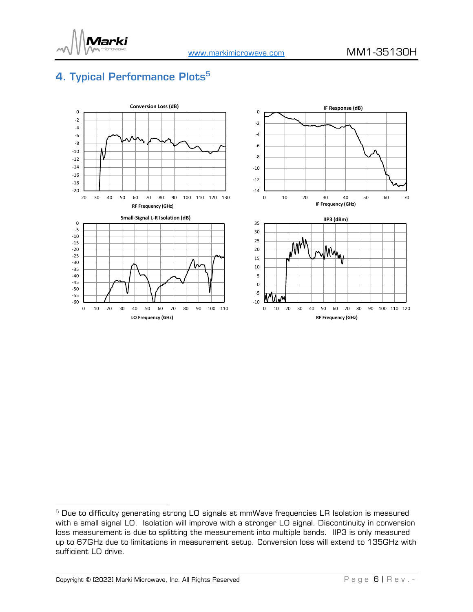

## <span id="page-5-0"></span>4. Typical Performance Plots<sup>5</sup>



<sup>&</sup>lt;sup>5</sup> Due to difficulty generating strong LO signals at mmWave frequencies LR Isolation is measured with a small signal LO. Isolation will improve with a stronger LO signal. Discontinuity in conversion loss measurement is due to splitting the measurement into multiple bands. IIP3 is only measured up to 67GHz due to limitations in measurement setup. Conversion loss will extend to 135GHz with sufficient LO drive.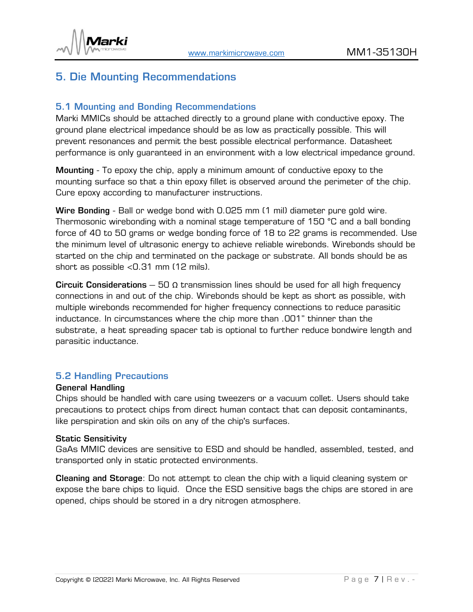

### <span id="page-6-0"></span>5. Die Mounting Recommendations

#### <span id="page-6-1"></span>5.1 Mounting and Bonding Recommendations

Marki MMICs should be attached directly to a ground plane with conductive epoxy. The ground plane electrical impedance should be as low as practically possible. This will prevent resonances and permit the best possible electrical performance. Datasheet performance is only guaranteed in an environment with a low electrical impedance ground.

Mounting - To epoxy the chip, apply a minimum amount of conductive epoxy to the mounting surface so that a thin epoxy fillet is observed around the perimeter of the chip. Cure epoxy according to manufacturer instructions.

Wire Bonding - Ball or wedge bond with 0.025 mm (1 mil) diameter pure gold wire. Thermosonic wirebonding with a nominal stage temperature of 150 °C and a ball bonding force of 40 to 50 grams or wedge bonding force of 18 to 22 grams is recommended. Use the minimum level of ultrasonic energy to achieve reliable wirebonds. Wirebonds should be started on the chip and terminated on the package or substrate. All bonds should be as short as possible <0.31 mm (12 mils).

Circuit Considerations – 50  $\Omega$  transmission lines should be used for all high frequency connections in and out of the chip. Wirebonds should be kept as short as possible, with multiple wirebonds recommended for higher frequency connections to reduce parasitic inductance. In circumstances where the chip more than .001" thinner than the substrate, a heat spreading spacer tab is optional to further reduce bondwire length and parasitic inductance.

#### <span id="page-6-2"></span>5.2 Handling Precautions

#### General Handling

Chips should be handled with care using tweezers or a vacuum collet. Users should take precautions to protect chips from direct human contact that can deposit contaminants, like perspiration and skin oils on any of the chip's surfaces.

#### Static Sensitivity

GaAs MMIC devices are sensitive to ESD and should be handled, assembled, tested, and transported only in static protected environments.

Cleaning and Storage: Do not attempt to clean the chip with a liquid cleaning system or expose the bare chips to liquid. Once the ESD sensitive bags the chips are stored in are opened, chips should be stored in a dry nitrogen atmosphere.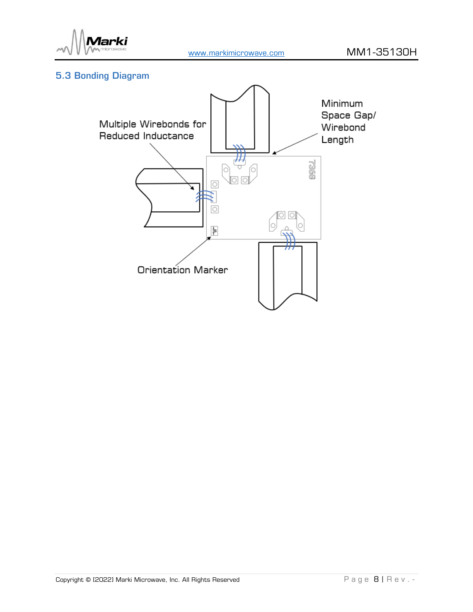

### <span id="page-7-0"></span>5.3 Bonding Diagram